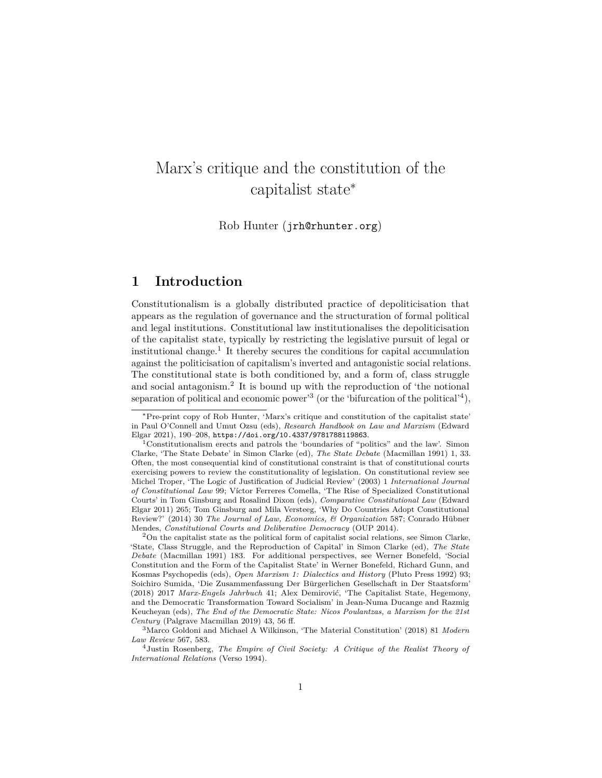# Marx's critique and the constitution of the capitalist state<sup>∗</sup>

Rob Hunter ([jrh@rhunter.org](mailto:jrh@rhunter.org))

# **1 Introduction**

Constitutionalism is a globally distributed practice of depoliticisation that appears as the regulation of governance and the structuration of formal political and legal institutions. Constitutional law institutionalises the depoliticisation of the capitalist state, typically by restricting the legislative pursuit of legal or institutional change.[1](#page-0-0) It thereby secures the conditions for capital accumulation against the politicisation of capitalism's inverted and antagonistic social relations. The constitutional state is both conditioned by, and a form of, class struggle and social antagonism.[2](#page-0-1) It is bound up with the reproduction of 'the notional separation of political and economic power<sup>[3](#page-0-2)</sup> (or the 'bifurcation of the political'<sup>[4](#page-0-3)</sup>),

<sup>∗</sup>Pre-print copy of Rob Hunter, 'Marx's critique and constitution of the capitalist state' in Paul O'Connell and Umut Ozsu (eds), *Research Handbook on Law and Marxism* (Edward Elgar 2021), 190–208, <https://doi.org/10.4337/9781788119863>.

<span id="page-0-0"></span><sup>1</sup>Constitutionalism erects and patrols the 'boundaries of "politics" and the law'. Simon Clarke, 'The State Debate' in Simon Clarke (ed), *The State Debate* (Macmillan 1991) 1, 33. Often, the most consequential kind of constitutional constraint is that of constitutional courts exercising powers to review the constitutionality of legislation. On constitutional review see Michel Troper, 'The Logic of Justification of Judicial Review' (2003) 1 *International Journal of Constitutional Law* 99; Víctor Ferreres Comella, 'The Rise of Specialized Constitutional Courts' in Tom Ginsburg and Rosalind Dixon (eds), *Comparative Constitutional Law* (Edward Elgar 2011) 265; Tom Ginsburg and Mila Versteeg, 'Why Do Countries Adopt Constitutional Review?' (2014) 30 *The Journal of Law, Economics, & Organization* 587; Conrado Hübner Mendes, *Constitutional Courts and Deliberative Democracy* (OUP 2014).

<span id="page-0-1"></span> $2<sup>2</sup>$ On the capitalist state as the political form of capitalist social relations, see Simon Clarke, 'State, Class Struggle, and the Reproduction of Capital' in Simon Clarke (ed), *The State Debate* (Macmillan 1991) 183. For additional perspectives, see Werner Bonefeld, 'Social Constitution and the Form of the Capitalist State' in Werner Bonefeld, Richard Gunn, and Kosmas Psychopedis (eds), *Open Marxism 1: Dialectics and History* (Pluto Press 1992) 93; Soichiro Sumida, 'Die Zusammenfassung Der Bürgerlichen Gesellschaft in Der Staatsform' (2018) 2017 *Marx-Engels Jahrbuch* 41; Alex Demirović, 'The Capitalist State, Hegemony, and the Democratic Transformation Toward Socialism' in Jean-Numa Ducange and Razmig Keucheyan (eds), *The End of the Democratic State: Nicos Poulantzas, a Marxism for the 21st Century* (Palgrave Macmillan 2019) 43, 56 ff.

<span id="page-0-2"></span><sup>3</sup>Marco Goldoni and Michael A Wilkinson, 'The Material Constitution' (2018) 81 *Modern Law Review* 567, 583.

<span id="page-0-3"></span><sup>4</sup>Justin Rosenberg, *The Empire of Civil Society: A Critique of the Realist Theory of International Relations* (Verso 1994).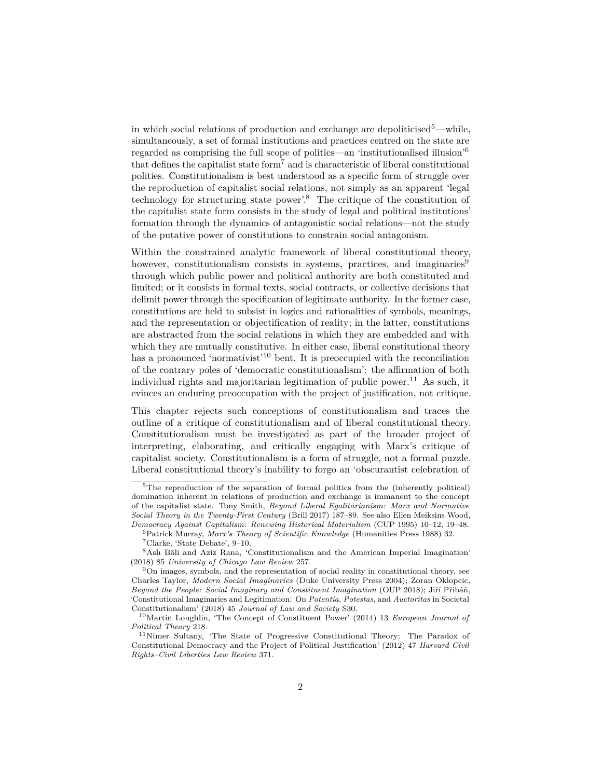in which social relations of production and exchange are depoliticised<sup>[5](#page-1-0)</sup>—while, simultaneously, a set of formal institutions and practices centred on the state are regarded as comprising the full scope of politics—an 'institutionalised illusion'[6](#page-1-1) that defines the capitalist state form<sup>[7](#page-1-2)</sup> and is characteristic of liberal constitutional polities. Constitutionalism is best understood as a specific form of struggle over the reproduction of capitalist social relations, not simply as an apparent 'legal technology for structuring state power'.[8](#page-1-3) The critique of the constitution of the capitalist state form consists in the study of legal and political institutions' formation through the dynamics of antagonistic social relations—not the study of the putative power of constitutions to constrain social antagonism.

Within the constrained analytic framework of liberal constitutional theory, however, constitutionalism consists in systems, practices, and imaginaries<sup>[9](#page-1-4)</sup> through which public power and political authority are both constituted and limited; or it consists in formal texts, social contracts, or collective decisions that delimit power through the specification of legitimate authority. In the former case, constitutions are held to subsist in logics and rationalities of symbols, meanings, and the representation or objectification of reality; in the latter, constitutions are abstracted from the social relations in which they are embedded and with which they are mutually constitutive. In either case, liberal constitutional theory has a pronounced 'normativist'<sup>[10](#page-1-5)</sup> bent. It is preoccupied with the reconciliation of the contrary poles of 'democratic constitutionalism': the affirmation of both individual rights and majoritarian legitimation of public power.<sup>[11](#page-1-6)</sup> As such, it evinces an enduring preoccupation with the project of justification, not critique.

This chapter rejects such conceptions of constitutionalism and traces the outline of a critique of constitutionalism and of liberal constitutional theory. Constitutionalism must be investigated as part of the broader project of interpreting, elaborating, and critically engaging with Marx's critique of capitalist society. Constitutionalism is a form of struggle, not a formal puzzle. Liberal constitutional theory's inability to forgo an 'obscurantist celebration of

<span id="page-1-0"></span> $5$ The reproduction of the separation of formal politics from the (inherently political) domination inherent in relations of production and exchange is immanent to the concept of the capitalist state. Tony Smith, *Beyond Liberal Egalitarianism: Marx and Normative Social Theory in the Twenty-First Century* (Brill 2017) 187–89. See also Ellen Meiksins Wood, *Democracy Against Capitalism: Renewing Historical Materialism* (CUP 1995) 10–12, 19–48.

<span id="page-1-1"></span><sup>6</sup>Patrick Murray, *Marx's Theory of Scientific Knowledge* (Humanities Press 1988) 32.

<span id="page-1-3"></span><span id="page-1-2"></span><sup>7</sup>Clarke, 'State Debate', 9–10.

<sup>8</sup>Aslı Bâli and Aziz Rana, 'Constitutionalism and the American Imperial Imagination' (2018) 85 *University of Chicago Law Review* 257.

<span id="page-1-4"></span><sup>9</sup>On images, symbols, and the representation of social reality in constitutional theory, see Charles Taylor, *Modern Social Imaginaries* (Duke University Press 2004); Zoran Oklopcic, *Beyond the People: Social Imaginary and Constituent Imagination* (OUP 2018); Jiří Přibáň, 'Constitutional Imaginaries and Legitimation: On *Potentia*, *Potestas*, and *Auctoritas* in Societal Constitutionalism' (2018) 45 *Journal of Law and Society* S30.

<span id="page-1-5"></span><sup>10</sup>Martin Loughlin, 'The Concept of Constituent Power' (2014) 13 *European Journal of Political Theory* 218.

<span id="page-1-6"></span><sup>11</sup>Nimer Sultany, 'The State of Progressive Constitutional Theory: The Paradox of Constitutional Democracy and the Project of Political Justification' (2012) 47 *Harvard Civil Rights–Civil Liberties Law Review* 371.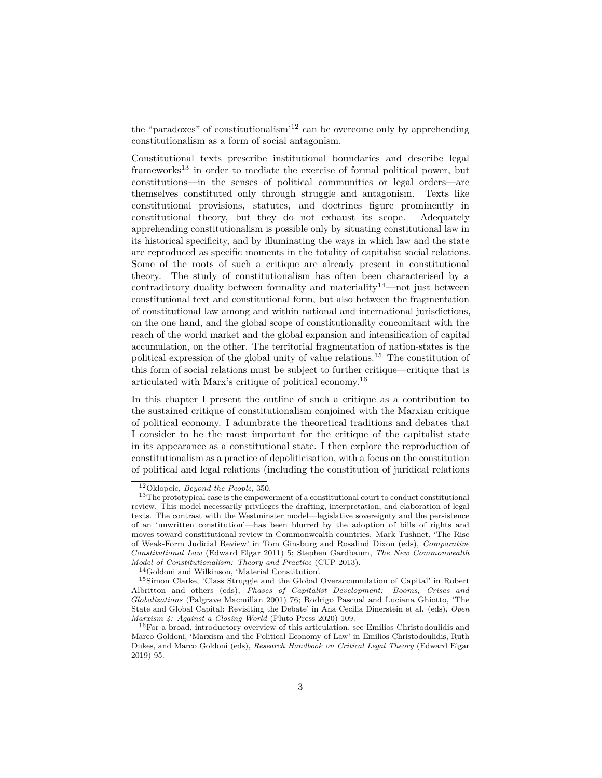the "paradoxes" of constitutionalism'[12](#page-2-0) can be overcome only by apprehending constitutionalism as a form of social antagonism.

Constitutional texts prescribe institutional boundaries and describe legal frameworks<sup>[13](#page-2-1)</sup> in order to mediate the exercise of formal political power, but constitutions—in the senses of political communities or legal orders—are themselves constituted only through struggle and antagonism. Texts like constitutional provisions, statutes, and doctrines figure prominently in constitutional theory, but they do not exhaust its scope. Adequately apprehending constitutionalism is possible only by situating constitutional law in its historical specificity, and by illuminating the ways in which law and the state are reproduced as specific moments in the totality of capitalist social relations. Some of the roots of such a critique are already present in constitutional theory. The study of constitutionalism has often been characterised by a contradictory duality between formality and materiality<sup>[14](#page-2-2)</sup>—not just between constitutional text and constitutional form, but also between the fragmentation of constitutional law among and within national and international jurisdictions, on the one hand, and the global scope of constitutionality concomitant with the reach of the world market and the global expansion and intensification of capital accumulation, on the other. The territorial fragmentation of nation-states is the political expression of the global unity of value relations.[15](#page-2-3) The constitution of this form of social relations must be subject to further critique—critique that is articulated with Marx's critique of political economy.[16](#page-2-4)

In this chapter I present the outline of such a critique as a contribution to the sustained critique of constitutionalism conjoined with the Marxian critique of political economy. I adumbrate the theoretical traditions and debates that I consider to be the most important for the critique of the capitalist state in its appearance as a constitutional state. I then explore the reproduction of constitutionalism as a practice of depoliticisation, with a focus on the constitution of political and legal relations (including the constitution of juridical relations

<span id="page-2-1"></span><span id="page-2-0"></span><sup>12</sup>Oklopcic, *Beyond the People*, 350.

<sup>&</sup>lt;sup>13</sup>The prototypical case is the empowerment of a constitutional court to conduct constitutional review. This model necessarily privileges the drafting, interpretation, and elaboration of legal texts. The contrast with the Westminster model—legislative sovereignty and the persistence of an 'unwritten constitution'—has been blurred by the adoption of bills of rights and moves toward constitutional review in Commonwealth countries. Mark Tushnet, 'The Rise of Weak-Form Judicial Review' in Tom Ginsburg and Rosalind Dixon (eds), *Comparative Constitutional Law* (Edward Elgar 2011) 5; Stephen Gardbaum, *The New Commonwealth Model of Constitutionalism: Theory and Practice* (CUP 2013).

<span id="page-2-3"></span><span id="page-2-2"></span><sup>14</sup>Goldoni and Wilkinson, 'Material Constitution'.

<sup>15</sup>Simon Clarke, 'Class Struggle and the Global Overaccumulation of Capital' in Robert Albritton and others (eds), *Phases of Capitalist Development: Booms, Crises and Globalizations* (Palgrave Macmillan 2001) 76; Rodrigo Pascual and Luciana Ghiotto, 'The State and Global Capital: Revisiting the Debate' in Ana Cecilia Dinerstein et al. (eds), *Open Marxism 4: Against a Closing World* (Pluto Press 2020) 109.

<span id="page-2-4"></span><sup>&</sup>lt;sup>16</sup>For a broad, introductory overview of this articulation, see Emilios Christodoulidis and Marco Goldoni, 'Marxism and the Political Economy of Law' in Emilios Christodoulidis, Ruth Dukes, and Marco Goldoni (eds), *Research Handbook on Critical Legal Theory* (Edward Elgar 2019) 95.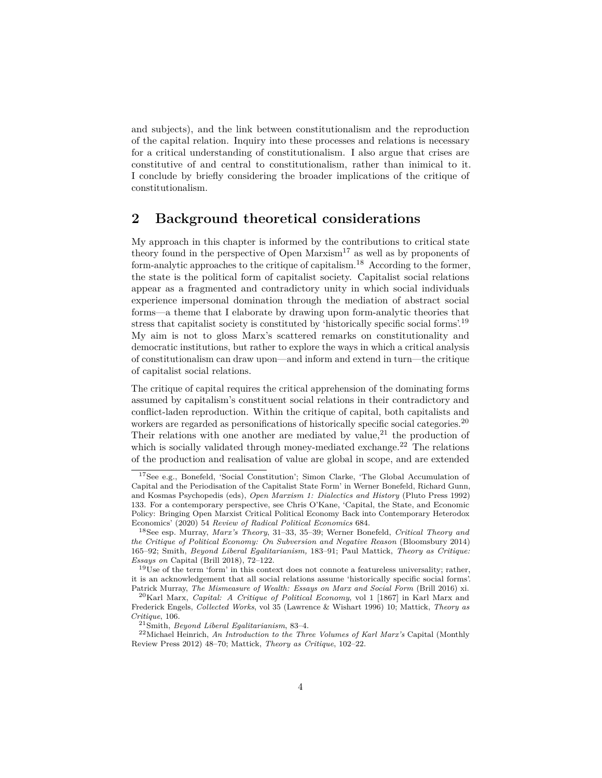and subjects), and the link between constitutionalism and the reproduction of the capital relation. Inquiry into these processes and relations is necessary for a critical understanding of constitutionalism. I also argue that crises are constitutive of and central to constitutionalism, rather than inimical to it. I conclude by briefly considering the broader implications of the critique of constitutionalism.

## **2 Background theoretical considerations**

My approach in this chapter is informed by the contributions to critical state theory found in the perspective of Open Marxism<sup>[17](#page-3-0)</sup> as well as by proponents of form-analytic approaches to the critique of capitalism.[18](#page-3-1) According to the former, the state is the political form of capitalist society. Capitalist social relations appear as a fragmented and contradictory unity in which social individuals experience impersonal domination through the mediation of abstract social forms—a theme that I elaborate by drawing upon form-analytic theories that stress that capitalist society is constituted by 'historically specific social forms'.[19](#page-3-2) My aim is not to gloss Marx's scattered remarks on constitutionality and democratic institutions, but rather to explore the ways in which a critical analysis of constitutionalism can draw upon—and inform and extend in turn—the critique of capitalist social relations.

The critique of capital requires the critical apprehension of the dominating forms assumed by capitalism's constituent social relations in their contradictory and conflict-laden reproduction. Within the critique of capital, both capitalists and workers are regarded as personifications of historically specific social categories.<sup>[20](#page-3-3)</sup> Their relations with one another are mediated by value,  $2<sup>1</sup>$  the production of which is socially validated through money-mediated exchange.<sup>[22](#page-3-5)</sup> The relations of the production and realisation of value are global in scope, and are extended

<span id="page-3-0"></span><sup>17</sup>See e.g., Bonefeld, 'Social Constitution'; Simon Clarke, 'The Global Accumulation of Capital and the Periodisation of the Capitalist State Form' in Werner Bonefeld, Richard Gunn, and Kosmas Psychopedis (eds), *Open Marxism 1: Dialectics and History* (Pluto Press 1992) 133. For a contemporary perspective, see Chris O'Kane, 'Capital, the State, and Economic Policy: Bringing Open Marxist Critical Political Economy Back into Contemporary Heterodox Economics' (2020) 54 *Review of Radical Political Economics* 684.

<span id="page-3-1"></span><sup>18</sup>See esp. Murray, *Marx's Theory*, 31–33, 35–39; Werner Bonefeld, *Critical Theory and the Critique of Political Economy: On Subversion and Negative Reason* (Bloomsbury 2014) 165–92; Smith, *Beyond Liberal Egalitarianism,* 183–91; Paul Mattick, *Theory as Critique: Essays on* Capital (Brill 2018), 72–122.

<span id="page-3-2"></span> $19$ Use of the term 'form' in this context does not connote a featureless universality; rather, it is an acknowledgement that all social relations assume 'historically specific social forms'. Patrick Murray, *The Mismeasure of Wealth: Essays on Marx and Social Form* (Brill 2016) xi.

<span id="page-3-3"></span><sup>20</sup>Karl Marx, *Capital: A Critique of Political Economy*, vol 1 [1867] in Karl Marx and Frederick Engels, *Collected Works*, vol 35 (Lawrence & Wishart 1996) 10; Mattick, *Theory as Critique*, 106.

<span id="page-3-5"></span><span id="page-3-4"></span><sup>21</sup>Smith, *Beyond Liberal Egalitarianism*, 83–4.

<sup>22</sup>Michael Heinrich, *An Introduction to the Three Volumes of Karl Marx's* Capital (Monthly Review Press 2012) 48–70; Mattick, *Theory as Critique*, 102–22.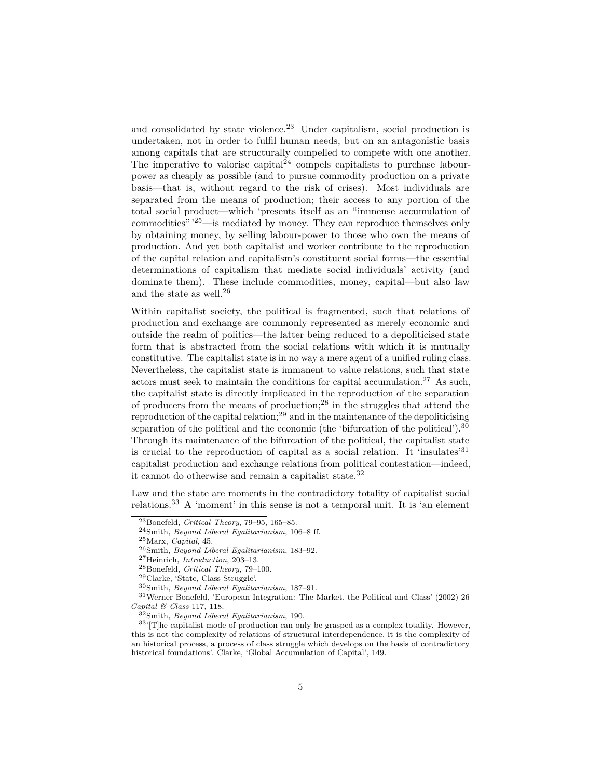and consolidated by state violence.<sup>[23](#page-4-0)</sup> Under capitalism, social production is undertaken, not in order to fulfil human needs, but on an antagonistic basis among capitals that are structurally compelled to compete with one another. The imperative to valorise capital $1^{24}$  $1^{24}$  $1^{24}$  compels capitalists to purchase labourpower as cheaply as possible (and to pursue commodity production on a private basis—that is, without regard to the risk of crises). Most individuals are separated from the means of production; their access to any portion of the total social product—which 'presents itself as an "immense accumulation of commodities" '[25](#page-4-2)—is mediated by money. They can reproduce themselves only by obtaining money, by selling labour-power to those who own the means of production. And yet both capitalist and worker contribute to the reproduction of the capital relation and capitalism's constituent social forms—the essential determinations of capitalism that mediate social individuals' activity (and dominate them). These include commodities, money, capital—but also law and the state as well.[26](#page-4-3)

Within capitalist society, the political is fragmented, such that relations of production and exchange are commonly represented as merely economic and outside the realm of politics—the latter being reduced to a depoliticised state form that is abstracted from the social relations with which it is mutually constitutive. The capitalist state is in no way a mere agent of a unified ruling class. Nevertheless, the capitalist state is immanent to value relations, such that state actors must seek to maintain the conditions for capital accumulation.<sup>[27](#page-4-4)</sup> As such, the capitalist state is directly implicated in the reproduction of the separation of producers from the means of production;[28](#page-4-5) in the struggles that attend the reproduction of the capital relation;<sup>[29](#page-4-6)</sup> and in the maintenance of the depoliticising separation of the political and the economic (the 'bifurcation of the political').<sup>[30](#page-4-7)</sup> Through its maintenance of the bifurcation of the political, the capitalist state is crucial to the reproduction of capital as a social relation. It 'insulates'<sup>[31](#page-4-8)</sup> capitalist production and exchange relations from political contestation—indeed, it cannot do otherwise and remain a capitalist state.[32](#page-4-9)

Law and the state are moments in the contradictory totality of capitalist social relations.[33](#page-4-10) A 'moment' in this sense is not a temporal unit. It is 'an element

<span id="page-4-0"></span><sup>23</sup>Bonefeld, *Critical Theory*, 79–95, 165–85.

<span id="page-4-1"></span><sup>24</sup>Smith, *Beyond Liberal Egalitarianism*, 106–8 ff.

<span id="page-4-2"></span><sup>25</sup>Marx, *Capital*, 45.

<span id="page-4-3"></span><sup>26</sup>Smith, *Beyond Liberal Egalitarianism*, 183–92.

<span id="page-4-4"></span><sup>27</sup>Heinrich, *Introduction*, 203–13.

<span id="page-4-5"></span><sup>28</sup>Bonefeld, *Critical Theory,* 79–100.

<span id="page-4-6"></span><sup>29</sup>Clarke, 'State, Class Struggle'.

<span id="page-4-8"></span><span id="page-4-7"></span><sup>30</sup>Smith, *Beyond Liberal Egalitarianism*, 187–91.

<sup>31</sup>Werner Bonefeld, 'European Integration: The Market, the Political and Class' (2002) 26 *Capital & Class* 117, 118.

<span id="page-4-10"></span><span id="page-4-9"></span><sup>32</sup>Smith, *Beyond Liberal Egalitarianism*, 190.

 $33\textdegree$ [T]he capitalist mode of production can only be grasped as a complex totality. However, this is not the complexity of relations of structural interdependence, it is the complexity of an historical process, a process of class struggle which develops on the basis of contradictory historical foundations'. Clarke, 'Global Accumulation of Capital', 149.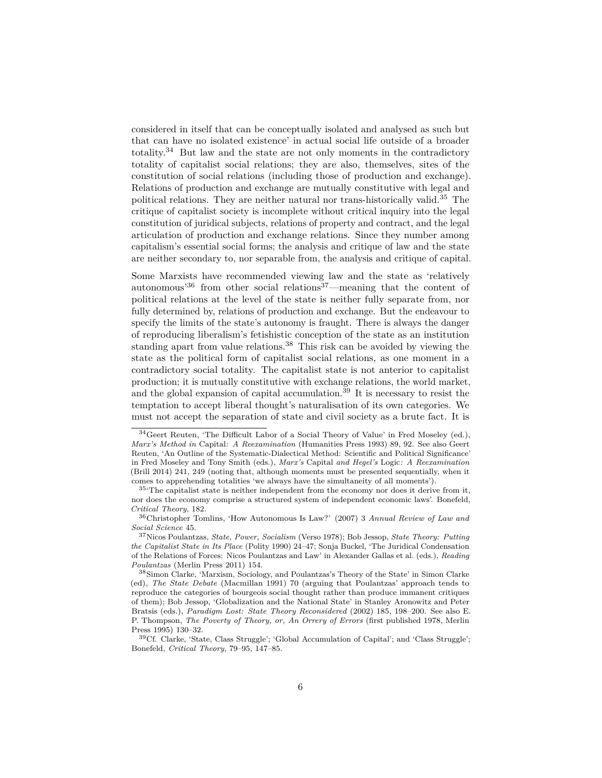considered in itself that can be conceptually isolated and analysed as such but that can have no isolated existence' in actual social life outside of a broader totality.<sup>[34](#page-5-0)</sup> But law and the state are not only moments in the contradictory totality of capitalist social relations; they are also, themselves, sites of the constitution of social relations (including those of production and exchange). Relations of production and exchange are mutually constitutive with legal and political relations. They are neither natural nor trans-historically valid.<sup>[35](#page-5-1)</sup> The critique of capitalist society is incomplete without critical inquiry into the legal constitution of juridical subjects, relations of property and contract, and the legal articulation of production and exchange relations. Since they number among capitalism's essential social forms; the analysis and critique of law and the state are neither secondary to, nor separable from, the analysis and critique of capital.

Some Marxists have recommended viewing law and the state as 'relatively autonomous<sup>[36](#page-5-2)</sup> from other social relations<sup>[37](#page-5-3)</sup>—meaning that the content of political relations at the level of the state is neither fully separate from, nor fully determined by, relations of production and exchange. But the endeavour to specify the limits of the state's autonomy is fraught. There is always the danger of reproducing liberalism's fetishistic conception of the state as an institution standing apart from value relations.[38](#page-5-4) This risk can be avoided by viewing the state as the political form of capitalist social relations, as one moment in a contradictory social totality. The capitalist state is not anterior to capitalist production; it is mutually constitutive with exchange relations, the world market, and the global expansion of capital accumulation.<sup>[39](#page-5-5)</sup> It is necessary to resist the temptation to accept liberal thought's naturalisation of its own categories. We must not accept the separation of state and civil society as a brute fact. It is

<span id="page-5-0"></span><sup>34</sup>Geert Reuten, 'The Difficult Labor of a Social Theory of Value' in Fred Moseley (ed.), *Marx's Method in* Capital*: A Reexamination* (Humanities Press 1993) 89, 92. See also Geert Reuten, 'An Outline of the Systematic-Dialectical Method: Scientific and Political Significance' in Fred Moseley and Tony Smith (eds.), *Marx's* Capital *and Hegel's* Logic*: A Reexamination* (Brill 2014) 241, 249 (noting that, although moments must be presented sequentially, when it comes to apprehending totalities 'we always have the simultaneity of all moments').

<span id="page-5-1"></span> $35$ <sup>45</sup> The capitalist state is neither independent from the economy nor does it derive from it, nor does the economy comprise a structured system of independent economic laws'. Bonefeld, *Critical Theory*, 182.

<span id="page-5-2"></span><sup>36</sup>Christopher Tomlins, 'How Autonomous Is Law?' (2007) 3 *Annual Review of Law and Social Science* 45.

<span id="page-5-3"></span><sup>37</sup>Nicos Poulantzas, *State, Power, Socialism* (Verso 1978); Bob Jessop, *State Theory: Putting the Capitalist State in Its Place* (Polity 1990) 24–47; Sonja Buckel, 'The Juridical Condensation of the Relations of Forces: Nicos Poulantzas and Law' in Alexander Gallas et al. (eds.), *Reading Poulantzas* (Merlin Press 2011) 154.

<span id="page-5-4"></span><sup>38</sup>Simon Clarke, 'Marxism, Sociology, and Poulantzas's Theory of the State' in Simon Clarke (ed), *The State Debate* (Macmillan 1991) 70 (arguing that Poulantzas' approach tends to reproduce the categories of bourgeois social thought rather than produce immanent critiques of them); Bob Jessop, 'Globalization and the National State' in Stanley Aronowitz and Peter Bratsis (eds.), *Paradigm Lost: State Theory Reconsidered* (2002) 185, 198–200. See also E. P. Thompson, *The Poverty of Theory, or, An Orrery of Errors* (first published 1978, Merlin Press 1995) 130–32.

<span id="page-5-5"></span><sup>39</sup>Cf. Clarke, 'State, Class Struggle'; 'Global Accumulation of Capital'; and 'Class Struggle'; Bonefeld, *Critical Theory*, 79–95, 147–85.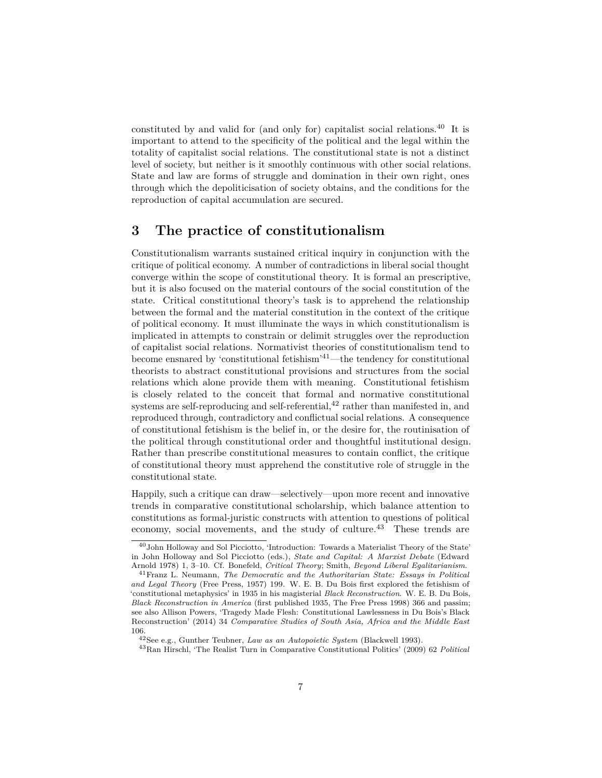constituted by and valid for (and only for) capitalist social relations.[40](#page-6-0) It is important to attend to the specificity of the political and the legal within the totality of capitalist social relations. The constitutional state is not a distinct level of society, but neither is it smoothly continuous with other social relations. State and law are forms of struggle and domination in their own right, ones through which the depoliticisation of society obtains, and the conditions for the reproduction of capital accumulation are secured.

#### **3 The practice of constitutionalism**

Constitutionalism warrants sustained critical inquiry in conjunction with the critique of political economy. A number of contradictions in liberal social thought converge within the scope of constitutional theory. It is formal an prescriptive, but it is also focused on the material contours of the social constitution of the state. Critical constitutional theory's task is to apprehend the relationship between the formal and the material constitution in the context of the critique of political economy. It must illuminate the ways in which constitutionalism is implicated in attempts to constrain or delimit struggles over the reproduction of capitalist social relations. Normativist theories of constitutionalism tend to become ensnared by 'constitutional fetishism'[41](#page-6-1)—the tendency for constitutional theorists to abstract constitutional provisions and structures from the social relations which alone provide them with meaning. Constitutional fetishism is closely related to the conceit that formal and normative constitutional systems are self-reproducing and self-referential, $42$  rather than manifested in, and reproduced through, contradictory and conflictual social relations. A consequence of constitutional fetishism is the belief in, or the desire for, the routinisation of the political through constitutional order and thoughtful institutional design. Rather than prescribe constitutional measures to contain conflict, the critique of constitutional theory must apprehend the constitutive role of struggle in the constitutional state.

Happily, such a critique can draw—selectively—upon more recent and innovative trends in comparative constitutional scholarship, which balance attention to constitutions as formal-juristic constructs with attention to questions of political economy, social movements, and the study of culture.<sup>[43](#page-6-3)</sup> These trends are

<span id="page-6-0"></span><sup>&</sup>lt;sup>40</sup>John Holloway and Sol Picciotto, 'Introduction: Towards a Materialist Theory of the State' in John Holloway and Sol Picciotto (eds.), *State and Capital: A Marxist Debate* (Edward Arnold 1978) 1, 3–10. Cf. Bonefeld, *Critical Theory*; Smith, *Beyond Liberal Egalitarianism*.

<span id="page-6-1"></span><sup>41</sup>Franz L. Neumann, *The Democratic and the Authoritarian State: Essays in Political and Legal Theory* (Free Press, 1957) 199. W. E. B. Du Bois first explored the fetishism of 'constitutional metaphysics' in 1935 in his magisterial *Black Reconstruction*. W. E. B. Du Bois, *Black Reconstruction in America* (first published 1935, The Free Press 1998) 366 and passim; see also Allison Powers, 'Tragedy Made Flesh: Constitutional Lawlessness in Du Bois's Black Reconstruction' (2014) 34 *Comparative Studies of South Asia, Africa and the Middle East* 106.

<span id="page-6-2"></span><sup>42</sup>See e.g., Gunther Teubner, *Law as an Autopoietic System* (Blackwell 1993).

<span id="page-6-3"></span><sup>43</sup>Ran Hirschl, 'The Realist Turn in Comparative Constitutional Politics' (2009) 62 *Political*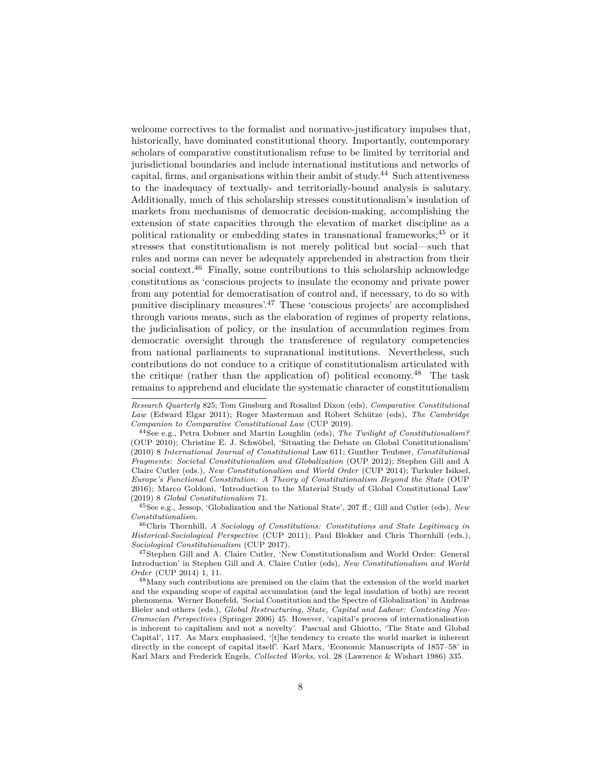welcome correctives to the formalist and normative-justificatory impulses that, historically, have dominated constitutional theory. Importantly, contemporary scholars of comparative constitutionalism refuse to be limited by territorial and jurisdictional boundaries and include international institutions and networks of capital, firms, and organisations within their ambit of study.[44](#page-7-0) Such attentiveness to the inadequacy of textually- and territorially-bound analysis is salutary. Additionally, much of this scholarship stresses constitutionalism's insulation of markets from mechanisms of democratic decision-making, accomplishing the extension of state capacities through the elevation of market discipline as a political rationality or embedding states in transnational frameworks;[45](#page-7-1) or it stresses that constitutionalism is not merely political but social—such that rules and norms can never be adequately apprehended in abstraction from their social context.<sup>[46](#page-7-2)</sup> Finally, some contributions to this scholarship acknowledge constitutions as 'conscious projects to insulate the economy and private power from any potential for democratisation of control and, if necessary, to do so with punitive disciplinary measures'.[47](#page-7-3) These 'conscious projects' are accomplished through various means, such as the elaboration of regimes of property relations, the judicialisation of policy, or the insulation of accumulation regimes from democratic oversight through the transference of regulatory competencies from national parliaments to supranational institutions. Nevertheless, such contributions do not conduce to a critique of constitutionalism articulated with the critique (rather than the application of) political economy.<sup>[48](#page-7-4)</sup> The task remains to apprehend and elucidate the systematic character of constitutionalism

*Research Quarterly* 825; Tom Ginsburg and Rosalind Dixon (eds), *Comparative Constitutional Law* (Edward Elgar 2011); Roger Masterman and Robert Schütze (eds), *The Cambridge Companion to Comparative Constitutional Law* (CUP 2019).

<span id="page-7-0"></span><sup>44</sup>See e.g., Petra Dobner and Martin Loughlin (eds), *The Twilight of Constitutionalism?* (OUP 2010); Christine E. J. Schwöbel, 'Situating the Debate on Global Constitutionalism' (2010) 8 *International Journal of Constitutional* Law 611; Gunther Teubner, *Constitutional Fragments: Societal Constitutionalism and Globalization* (OUP 2012); Stephen Gill and A Claire Cutler (eds.), *New Constitutionalism and World Order* (CUP 2014); Turkuler Isiksel, *Europe's Functional Constitution: A Theory of Constitutionalism Beyond the State* (OUP 2016); Marco Goldoni, 'Introduction to the Material Study of Global Constitutional Law' (2019) 8 *Global Constitutionalism* 71.

<span id="page-7-1"></span><sup>45</sup>See e.g., Jessop, 'Globalization and the National State', 207 ff.; Gill and Cutler (eds), *New Constitutionalism*.

<span id="page-7-2"></span><sup>46</sup>Chris Thornhill, *A Sociology of Constitutions: Constitutions and State Legitimacy in Historical-Sociological Perspective* (CUP 2011); Paul Blokker and Chris Thornhill (eds.), *Sociological Constitutionalism* (CUP 2017).

<span id="page-7-3"></span><sup>47</sup>Stephen Gill and A. Claire Cutler, 'New Constitutionalism and World Order: General Introduction' in Stephen Gill and A. Claire Cutler (eds), *New Constitutionalism and World Order* (CUP 2014) 1, 11.

<span id="page-7-4"></span><sup>48</sup>Many such contributions are premised on the claim that the extension of the world market and the expanding scope of capital accumulation (and the legal insulation of both) are recent phenomena. Werner Bonefeld, 'Social Constitution and the Spectre of Globalization' in Andreas Bieler and others (eds.), *Global Restructuring, State, Capital and Labour: Contesting Neo-Gramscian Perspectives* (Springer 2006) 45. However, 'capital's process of internationalisation is inherent to capitalism and not a novelty'. Pascual and Ghiotto, 'The State and Global Capital', 117. As Marx emphasised, '[t]he tendency to create the world market is inherent directly in the concept of capital itself'. Karl Marx, 'Economic Manuscripts of 1857–58' in Karl Marx and Frederick Engels, *Collected Works*, vol. 28 (Lawrence & Wishart 1986) 335.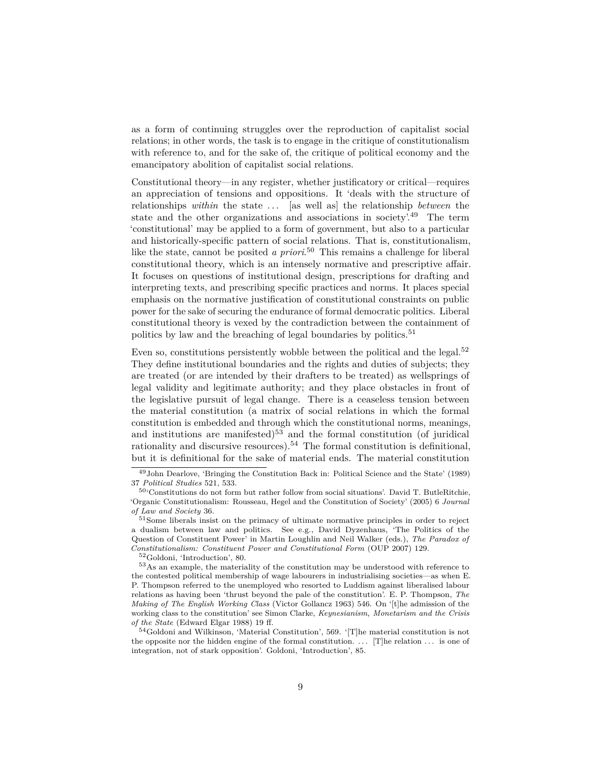as a form of continuing struggles over the reproduction of capitalist social relations; in other words, the task is to engage in the critique of constitutionalism with reference to, and for the sake of, the critique of political economy and the emancipatory abolition of capitalist social relations.

Constitutional theory—in any register, whether justificatory or critical—requires an appreciation of tensions and oppositions. It 'deals with the structure of relationships *within* the state ... [as well as] the relationship *between* the state and the other organizations and associations in society'.[49](#page-8-0) The term 'constitutional' may be applied to a form of government, but also to a particular and historically-specific pattern of social relations. That is, constitutionalism, like the state, cannot be posited *a priori*. [50](#page-8-1) This remains a challenge for liberal constitutional theory, which is an intensely normative and prescriptive affair. It focuses on questions of institutional design, prescriptions for drafting and interpreting texts, and prescribing specific practices and norms. It places special emphasis on the normative justification of constitutional constraints on public power for the sake of securing the endurance of formal democratic politics. Liberal constitutional theory is vexed by the contradiction between the containment of politics by law and the breaching of legal boundaries by politics.<sup>[51](#page-8-2)</sup>

Even so, constitutions persistently wobble between the political and the legal.<sup>[52](#page-8-3)</sup> They define institutional boundaries and the rights and duties of subjects; they are treated (or are intended by their drafters to be treated) as wellsprings of legal validity and legitimate authority; and they place obstacles in front of the legislative pursuit of legal change. There is a ceaseless tension between the material constitution (a matrix of social relations in which the formal constitution is embedded and through which the constitutional norms, meanings, and institutions are manifested)<sup>[53](#page-8-4)</sup> and the formal constitution (of juridical rationality and discursive resources).<sup>[54](#page-8-5)</sup> The formal constitution is definitional, but it is definitional for the sake of material ends. The material constitution

<span id="page-8-4"></span><span id="page-8-3"></span><sup>52</sup>Goldoni, 'Introduction', 80.

<span id="page-8-0"></span><sup>49</sup>John Dearlove, 'Bringing the Constitution Back in: Political Science and the State' (1989) 37 *Political Studies* 521, 533.

<span id="page-8-1"></span><sup>50</sup>'Constitutions do not form but rather follow from social situations'. David T. ButleRitchie, 'Organic Constitutionalism: Rousseau, Hegel and the Constitution of Society' (2005) 6 *Journal of Law and Society* 36.

<span id="page-8-2"></span><sup>51</sup>Some liberals insist on the primacy of ultimate normative principles in order to reject a dualism between law and politics. See e.g., David Dyzenhaus, 'The Politics of the Question of Constituent Power' in Martin Loughlin and Neil Walker (eds.), *The Paradox of Constitutionalism: Constituent Power and Constitutional Form* (OUP 2007) 129.

<sup>53</sup>As an example, the materiality of the constitution may be understood with reference to the contested political membership of wage labourers in industrialising societies—as when E. P. Thompson referred to the unemployed who resorted to Luddism against liberalised labour relations as having been 'thrust beyond the pale of the constitution'. E. P. Thompson, *The Making of The English Working Class* (Victor Gollancz 1963) 546. On '[t]he admission of the working class to the constitution' see Simon Clarke, *Keynesianism, Monetarism and the Crisis of the State* (Edward Elgar 1988) 19 ff.

<span id="page-8-5"></span><sup>54</sup>Goldoni and Wilkinson, 'Material Constitution', 569. '[T]he material constitution is not the opposite nor the hidden engine of the formal constitution. . . . [T]he relation ... is one of integration, not of stark opposition'. Goldoni, 'Introduction', 85.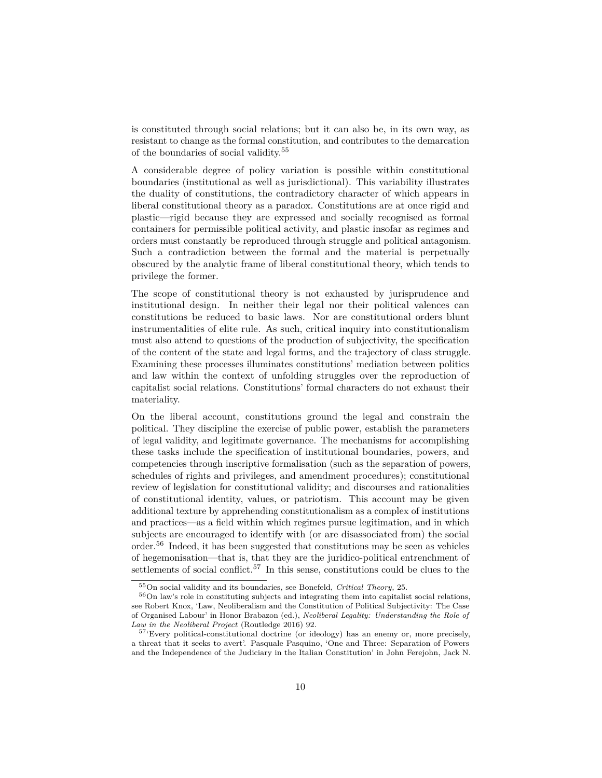is constituted through social relations; but it can also be, in its own way, as resistant to change as the formal constitution, and contributes to the demarcation of the boundaries of social validity.<sup>[55](#page-9-0)</sup>

A considerable degree of policy variation is possible within constitutional boundaries (institutional as well as jurisdictional). This variability illustrates the duality of constitutions, the contradictory character of which appears in liberal constitutional theory as a paradox. Constitutions are at once rigid and plastic—rigid because they are expressed and socially recognised as formal containers for permissible political activity, and plastic insofar as regimes and orders must constantly be reproduced through struggle and political antagonism. Such a contradiction between the formal and the material is perpetually obscured by the analytic frame of liberal constitutional theory, which tends to privilege the former.

The scope of constitutional theory is not exhausted by jurisprudence and institutional design. In neither their legal nor their political valences can constitutions be reduced to basic laws. Nor are constitutional orders blunt instrumentalities of elite rule. As such, critical inquiry into constitutionalism must also attend to questions of the production of subjectivity, the specification of the content of the state and legal forms, and the trajectory of class struggle. Examining these processes illuminates constitutions' mediation between politics and law within the context of unfolding struggles over the reproduction of capitalist social relations. Constitutions' formal characters do not exhaust their materiality.

On the liberal account, constitutions ground the legal and constrain the political. They discipline the exercise of public power, establish the parameters of legal validity, and legitimate governance. The mechanisms for accomplishing these tasks include the specification of institutional boundaries, powers, and competencies through inscriptive formalisation (such as the separation of powers, schedules of rights and privileges, and amendment procedures); constitutional review of legislation for constitutional validity; and discourses and rationalities of constitutional identity, values, or patriotism. This account may be given additional texture by apprehending constitutionalism as a complex of institutions and practices—as a field within which regimes pursue legitimation, and in which subjects are encouraged to identify with (or are disassociated from) the social order.[56](#page-9-1) Indeed, it has been suggested that constitutions may be seen as vehicles of hegemonisation—that is, that they are the juridico-political entrenchment of settlements of social conflict.<sup>[57](#page-9-2)</sup> In this sense, constitutions could be clues to the

<span id="page-9-1"></span><span id="page-9-0"></span><sup>55</sup>On social validity and its boundaries, see Bonefeld, *Critical Theory,* 25.

<sup>56</sup>On law's role in constituting subjects and integrating them into capitalist social relations, see Robert Knox, 'Law, Neoliberalism and the Constitution of Political Subjectivity: The Case of Organised Labour' in Honor Brabazon (ed.), *Neoliberal Legality: Understanding the Role of Law in the Neoliberal Project* (Routledge 2016) 92.

<span id="page-9-2"></span><sup>57</sup>'Every political-constitutional doctrine (or ideology) has an enemy or, more precisely, a threat that it seeks to avert'. Pasquale Pasquino, 'One and Three: Separation of Powers and the Independence of the Judiciary in the Italian Constitution' in John Ferejohn, Jack N.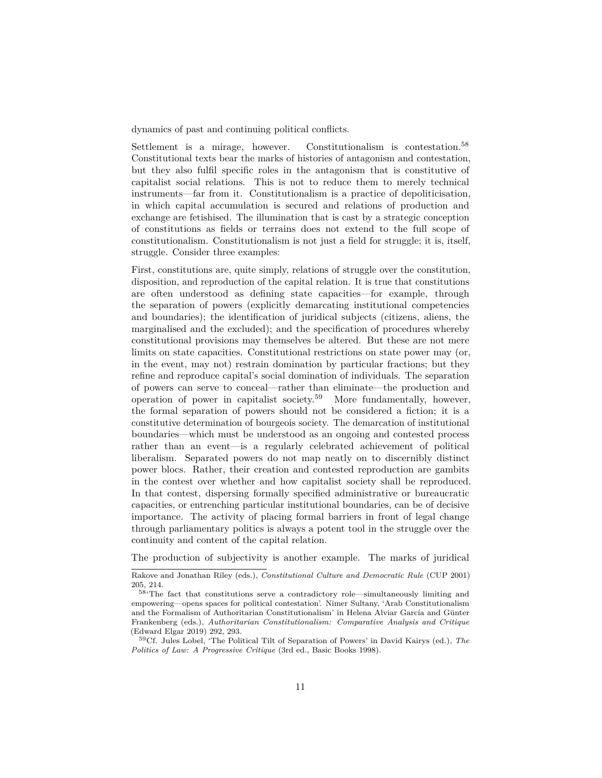dynamics of past and continuing political conflicts.

Settlement is a mirage, however. Constitutionalism is contestation.<sup>[58](#page-10-0)</sup> Constitutional texts bear the marks of histories of antagonism and contestation, but they also fulfil specific roles in the antagonism that is constitutive of capitalist social relations. This is not to reduce them to merely technical instruments—far from it. Constitutionalism is a practice of depoliticisation, in which capital accumulation is secured and relations of production and exchange are fetishised. The illumination that is cast by a strategic conception of constitutions as fields or terrains does not extend to the full scope of constitutionalism. Constitutionalism is not just a field for struggle; it is, itself, struggle. Consider three examples:

First, constitutions are, quite simply, relations of struggle over the constitution, disposition, and reproduction of the capital relation. It is true that constitutions are often understood as defining state capacities—for example, through the separation of powers (explicitly demarcating institutional competencies and boundaries); the identification of juridical subjects (citizens, aliens, the marginalised and the excluded); and the specification of procedures whereby constitutional provisions may themselves be altered. But these are not mere limits on state capacities. Constitutional restrictions on state power may (or, in the event, may not) restrain domination by particular fractions; but they refine and reproduce capital's social domination of individuals. The separation of powers can serve to conceal—rather than eliminate—the production and operation of power in capitalist society.[59](#page-10-1) More fundamentally, however, the formal separation of powers should not be considered a fiction; it is a constitutive determination of bourgeois society. The demarcation of institutional boundaries—which must be understood as an ongoing and contested process rather than an event—is a regularly celebrated achievement of political liberalism. Separated powers do not map neatly on to discernibly distinct power blocs. Rather, their creation and contested reproduction are gambits in the contest over whether and how capitalist society shall be reproduced. In that contest, dispersing formally specified administrative or bureaucratic capacities, or entrenching particular institutional boundaries, can be of decisive importance. The activity of placing formal barriers in front of legal change through parliamentary politics is always a potent tool in the struggle over the continuity and content of the capital relation.

The production of subjectivity is another example. The marks of juridical

Rakove and Jonathan Riley (eds.), *Constitutional Culture and Democratic Rule* (CUP 2001) 205, 214.

<span id="page-10-0"></span><sup>58</sup>'The fact that constitutions serve a contradictory role—simultaneously limiting and empowering—opens spaces for political contestation'. Nimer Sultany, 'Arab Constitutionalism and the Formalism of Authoritarian Constitutionalism' in Helena Alviar García and Günter Frankenberg (eds.), *Authoritarian Constitutionalism: Comparative Analysis and Critique* (Edward Elgar 2019) 292, 293.

<span id="page-10-1"></span><sup>59</sup>Cf. Jules Lobel, 'The Political Tilt of Separation of Powers' in David Kairys (ed.), *The Politics of Law: A Progressive Critique* (3rd ed., Basic Books 1998).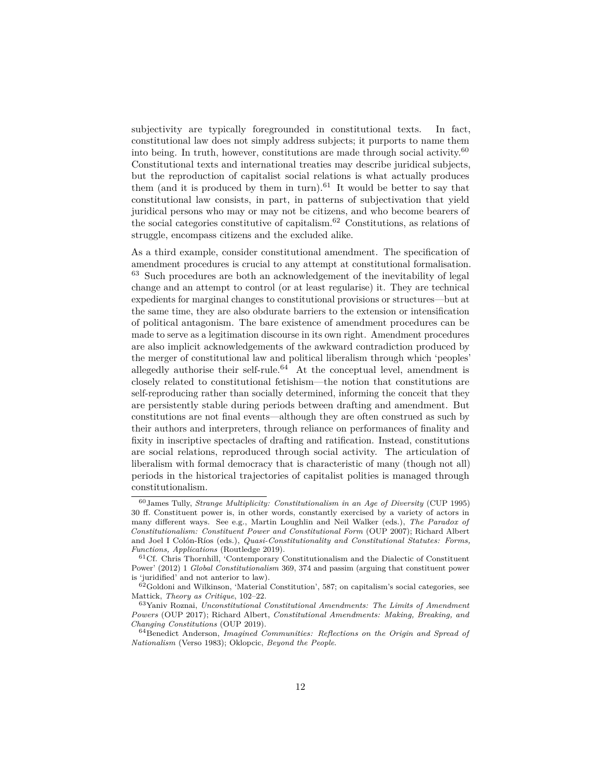subjectivity are typically foregrounded in constitutional texts. In fact, constitutional law does not simply address subjects; it purports to name them into being. In truth, however, constitutions are made through social activity.<sup>[60](#page-11-0)</sup> Constitutional texts and international treaties may describe juridical subjects, but the reproduction of capitalist social relations is what actually produces them (and it is produced by them in turn).<sup>[61](#page-11-1)</sup> It would be better to say that constitutional law consists, in part, in patterns of subjectivation that yield juridical persons who may or may not be citizens, and who become bearers of the social categories constitutive of capitalism.[62](#page-11-2) Constitutions, as relations of struggle, encompass citizens and the excluded alike.

As a third example, consider constitutional amendment. The specification of amendment procedures is crucial to any attempt at constitutional formalisation. [63](#page-11-3) Such procedures are both an acknowledgement of the inevitability of legal change and an attempt to control (or at least regularise) it. They are technical expedients for marginal changes to constitutional provisions or structures—but at the same time, they are also obdurate barriers to the extension or intensification of political antagonism. The bare existence of amendment procedures can be made to serve as a legitimation discourse in its own right. Amendment procedures are also implicit acknowledgements of the awkward contradiction produced by the merger of constitutional law and political liberalism through which 'peoples' allegedly authorise their self-rule.<sup>[64](#page-11-4)</sup> At the conceptual level, amendment is closely related to constitutional fetishism—the notion that constitutions are self-reproducing rather than socially determined, informing the conceit that they are persistently stable during periods between drafting and amendment. But constitutions are not final events—although they are often construed as such by their authors and interpreters, through reliance on performances of finality and fixity in inscriptive spectacles of drafting and ratification. Instead, constitutions are social relations, reproduced through social activity. The articulation of liberalism with formal democracy that is characteristic of many (though not all) periods in the historical trajectories of capitalist polities is managed through constitutionalism.

<span id="page-11-0"></span><sup>60</sup>James Tully, *Strange Multiplicity: Constitutionalism in an Age of Diversity* (CUP 1995) 30 ff. Constituent power is, in other words, constantly exercised by a variety of actors in many different ways. See e.g., Martin Loughlin and Neil Walker (eds.), *The Paradox of Constitutionalism: Constituent Power and Constitutional Form* (OUP 2007); Richard Albert and Joel I Colón-Ríos (eds.), *Quasi-Constitutionality and Constitutional Statutes: Forms, Functions, Applications* (Routledge 2019).

<span id="page-11-1"></span> $61C$ f. Chris Thornhill, 'Contemporary Constitutionalism and the Dialectic of Constituent Power' (2012) 1 *Global Constitutionalism* 369, 374 and passim (arguing that constituent power is 'juridified' and not anterior to law).

<span id="page-11-2"></span><sup>62</sup>Goldoni and Wilkinson, 'Material Constitution', 587; on capitalism's social categories, see Mattick, *Theory as Critique*, 102–22.

<span id="page-11-3"></span><sup>63</sup>Yaniv Roznai, *Unconstitutional Constitutional Amendments: The Limits of Amendment Powers* (OUP 2017); Richard Albert, *Constitutional Amendments: Making, Breaking, and Changing Constitutions* (OUP 2019).

<span id="page-11-4"></span><sup>64</sup>Benedict Anderson, *Imagined Communities: Reflections on the Origin and Spread of Nationalism* (Verso 1983); Oklopcic, *Beyond the People*.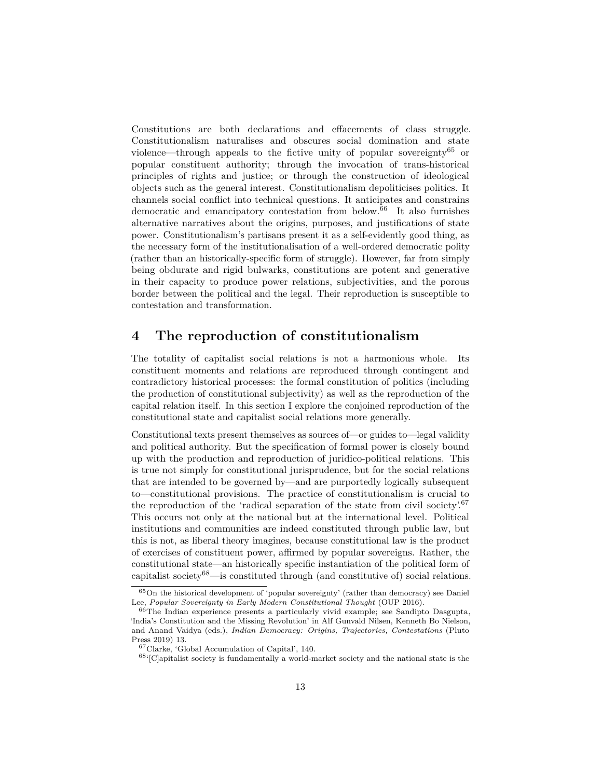Constitutions are both declarations and effacements of class struggle. Constitutionalism naturalises and obscures social domination and state violence—through appeals to the fictive unity of popular sovereignty<sup>[65](#page-12-0)</sup> or popular constituent authority; through the invocation of trans-historical principles of rights and justice; or through the construction of ideological objects such as the general interest. Constitutionalism depoliticises politics. It channels social conflict into technical questions. It anticipates and constrains democratic and emancipatory contestation from below.[66](#page-12-1) It also furnishes alternative narratives about the origins, purposes, and justifications of state power. Constitutionalism's partisans present it as a self-evidently good thing, as the necessary form of the institutionalisation of a well-ordered democratic polity (rather than an historically-specific form of struggle). However, far from simply being obdurate and rigid bulwarks, constitutions are potent and generative in their capacity to produce power relations, subjectivities, and the porous border between the political and the legal. Their reproduction is susceptible to contestation and transformation.

#### **4 The reproduction of constitutionalism**

The totality of capitalist social relations is not a harmonious whole. Its constituent moments and relations are reproduced through contingent and contradictory historical processes: the formal constitution of politics (including the production of constitutional subjectivity) as well as the reproduction of the capital relation itself. In this section I explore the conjoined reproduction of the constitutional state and capitalist social relations more generally.

Constitutional texts present themselves as sources of—or guides to—legal validity and political authority. But the specification of formal power is closely bound up with the production and reproduction of juridico-political relations. This is true not simply for constitutional jurisprudence, but for the social relations that are intended to be governed by—and are purportedly logically subsequent to—constitutional provisions. The practice of constitutionalism is crucial to the reproduction of the 'radical separation of the state from civil society'.<sup>[67](#page-12-2)</sup> This occurs not only at the national but at the international level. Political institutions and communities are indeed constituted through public law, but this is not, as liberal theory imagines, because constitutional law is the product of exercises of constituent power, affirmed by popular sovereigns. Rather, the constitutional state—an historically specific instantiation of the political form of capitalist society $68$ —is constituted through (and constitutive of) social relations.

<span id="page-12-0"></span><sup>65</sup>On the historical development of 'popular sovereignty' (rather than democracy) see Daniel Lee, *Popular Sovereignty in Early Modern Constitutional Thought* (OUP 2016).

<span id="page-12-1"></span><sup>66</sup>The Indian experience presents a particularly vivid example; see Sandipto Dasgupta, 'India's Constitution and the Missing Revolution' in Alf Gunvald Nilsen, Kenneth Bo Nielson, and Anand Vaidya (eds.), *Indian Democracy: Origins, Trajectories, Contestations* (Pluto Press 2019) 13.

<span id="page-12-2"></span><sup>67</sup>Clarke, 'Global Accumulation of Capital', 140.

<span id="page-12-3"></span> $68$ <sup>68</sup>'[C]apitalist society is fundamentally a world-market society and the national state is the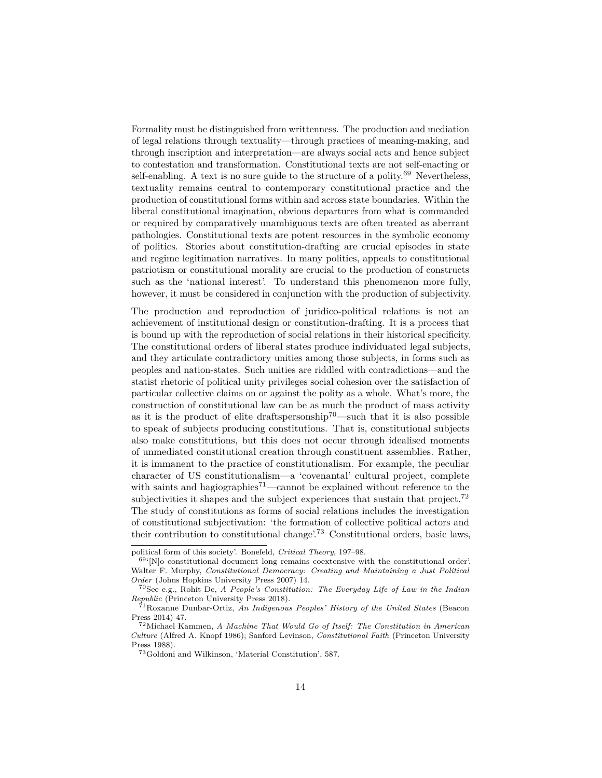Formality must be distinguished from writtenness. The production and mediation of legal relations through textuality—through practices of meaning-making, and through inscription and interpretation—are always social acts and hence subject to contestation and transformation. Constitutional texts are not self-enacting or self-enabling. A text is no sure guide to the structure of a polity.<sup>[69](#page-13-0)</sup> Nevertheless, textuality remains central to contemporary constitutional practice and the production of constitutional forms within and across state boundaries. Within the liberal constitutional imagination, obvious departures from what is commanded or required by comparatively unambiguous texts are often treated as aberrant pathologies. Constitutional texts are potent resources in the symbolic economy of politics. Stories about constitution-drafting are crucial episodes in state and regime legitimation narratives. In many polities, appeals to constitutional patriotism or constitutional morality are crucial to the production of constructs such as the 'national interest'. To understand this phenomenon more fully, however, it must be considered in conjunction with the production of subjectivity.

The production and reproduction of juridico-political relations is not an achievement of institutional design or constitution-drafting. It is a process that is bound up with the reproduction of social relations in their historical specificity. The constitutional orders of liberal states produce individuated legal subjects, and they articulate contradictory unities among those subjects, in forms such as peoples and nation-states. Such unities are riddled with contradictions—and the statist rhetoric of political unity privileges social cohesion over the satisfaction of particular collective claims on or against the polity as a whole. What's more, the construction of constitutional law can be as much the product of mass activity as it is the product of elite draftspersonship<sup>[70](#page-13-1)</sup>—such that it is also possible to speak of subjects producing constitutions. That is, constitutional subjects also make constitutions, but this does not occur through idealised moments of unmediated constitutional creation through constituent assemblies. Rather, it is immanent to the practice of constitutionalism. For example, the peculiar character of US constitutionalism—a 'covenantal' cultural project, complete with saints and hagiographies<sup> $71$ </sup>—cannot be explained without reference to the subjectivities it shapes and the subject experiences that sustain that project.<sup>[72](#page-13-3)</sup> The study of constitutions as forms of social relations includes the investigation of constitutional subjectivation: 'the formation of collective political actors and their contribution to constitutional change'.<sup>[73](#page-13-4)</sup> Constitutional orders, basic laws,

political form of this society'. Bonefeld, *Critical Theory*, 197–98.

<span id="page-13-0"></span> $69$ <sup> $(69)$ </sup>[N]o constitutional document long remains coextensive with the constitutional order'. Walter F. Murphy, *Constitutional Democracy: Creating and Maintaining a Just Political Order* (Johns Hopkins University Press 2007) 14.

<span id="page-13-1"></span><sup>70</sup>See e.g., Rohit De, *A People's Constitution: The Everyday Life of Law in the Indian Republic* (Princeton University Press 2018).

<span id="page-13-2"></span><sup>71</sup>Roxanne Dunbar-Ortiz, *An Indigenous Peoples' History of the United States* (Beacon Press 2014) 47.

<span id="page-13-3"></span><sup>72</sup>Michael Kammen, *A Machine That Would Go of Itself: The Constitution in American Culture* (Alfred A. Knopf 1986); Sanford Levinson, *Constitutional Faith* (Princeton University Press 1988).

<span id="page-13-4"></span><sup>73</sup>Goldoni and Wilkinson, 'Material Constitution', 587.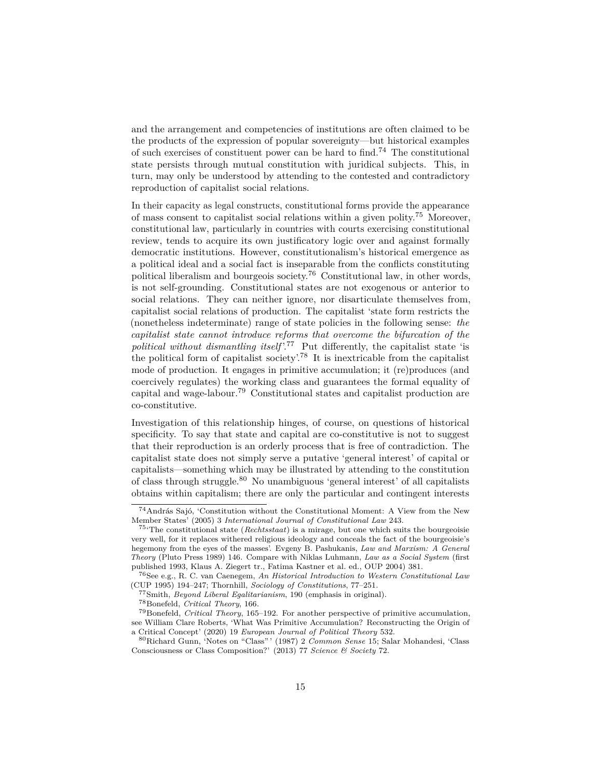and the arrangement and competencies of institutions are often claimed to be the products of the expression of popular sovereignty—but historical examples of such exercises of constituent power can be hard to find.<sup>[74](#page-14-0)</sup> The constitutional state persists through mutual constitution with juridical subjects. This, in turn, may only be understood by attending to the contested and contradictory reproduction of capitalist social relations.

In their capacity as legal constructs, constitutional forms provide the appearance of mass consent to capitalist social relations within a given polity.[75](#page-14-1) Moreover, constitutional law, particularly in countries with courts exercising constitutional review, tends to acquire its own justificatory logic over and against formally democratic institutions. However, constitutionalism's historical emergence as a political ideal and a social fact is inseparable from the conflicts constituting political liberalism and bourgeois society.[76](#page-14-2) Constitutional law, in other words, is not self-grounding. Constitutional states are not exogenous or anterior to social relations. They can neither ignore, nor disarticulate themselves from, capitalist social relations of production. The capitalist 'state form restricts the (nonetheless indeterminate) range of state policies in the following sense: *the capitalist state cannot introduce reforms that overcome the bifurcation of the political without dismantling itself*<sup>'[77](#page-14-3)</sup> Put differently, the capitalist state 'is the political form of capitalist society'.[78](#page-14-4) It is inextricable from the capitalist mode of production. It engages in primitive accumulation; it (re)produces (and coercively regulates) the working class and guarantees the formal equality of capital and wage-labour.[79](#page-14-5) Constitutional states and capitalist production are co-constitutive.

Investigation of this relationship hinges, of course, on questions of historical specificity. To say that state and capital are co-constitutive is not to suggest that their reproduction is an orderly process that is free of contradiction. The capitalist state does not simply serve a putative 'general interest' of capital or capitalists—something which may be illustrated by attending to the constitution of class through struggle.[80](#page-14-6) No unambiguous 'general interest' of all capitalists obtains within capitalism; there are only the particular and contingent interests

<span id="page-14-0"></span><sup>74</sup>András Sajó, 'Constitution without the Constitutional Moment: A View from the New Member States' (2005) 3 *International Journal of Constitutional Law* 243.

<span id="page-14-1"></span><sup>75</sup>'The constitutional state (*Rechtsstaat*) is a mirage, but one which suits the bourgeoisie very well, for it replaces withered religious ideology and conceals the fact of the bourgeoisie's hegemony from the eyes of the masses'. Evgeny B. Pashukanis, *Law and Marxism: A General Theory* (Pluto Press 1989) 146. Compare with Niklas Luhmann, *Law as a Social System* (first published 1993, Klaus A. Ziegert tr., Fatima Kastner et al. ed., OUP 2004) 381.

<span id="page-14-2"></span><sup>76</sup>See e.g., R. C. van Caenegem, *An Historical Introduction to Western Constitutional Law* (CUP 1995) 194–247; Thornhill, *Sociology of Constitutions*, 77–251.

<span id="page-14-3"></span><sup>77</sup>Smith, *Beyond Liberal Egalitarianism*, 190 (emphasis in original).

<span id="page-14-5"></span><span id="page-14-4"></span><sup>78</sup>Bonefeld, *Critical Theory*, 166.

<sup>79</sup>Bonefeld, *Critical Theory*, 165–192. For another perspective of primitive accumulation, see William Clare Roberts, 'What Was Primitive Accumulation? Reconstructing the Origin of a Critical Concept' (2020) 19 *European Journal of Political Theory* 532.

<span id="page-14-6"></span><sup>80</sup>Richard Gunn, 'Notes on "Class" ' (1987) 2 *Common Sense* 15; Salar Mohandesi, 'Class Consciousness or Class Composition?' (2013) 77 *Science & Society* 72.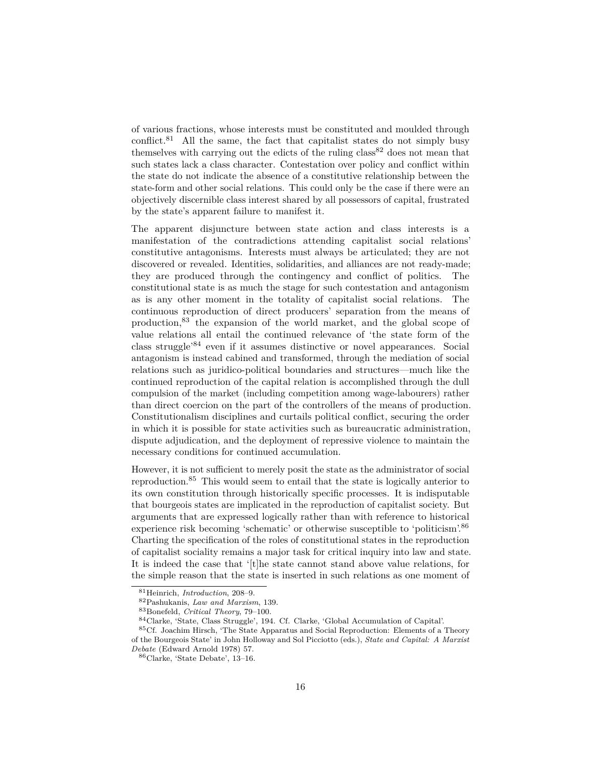of various fractions, whose interests must be constituted and moulded through conflict.[81](#page-15-0) All the same, the fact that capitalist states do not simply busy themselves with carrying out the edicts of the ruling  $\text{class}^{82}$  $\text{class}^{82}$  $\text{class}^{82}$  does not mean that such states lack a class character. Contestation over policy and conflict within the state do not indicate the absence of a constitutive relationship between the state-form and other social relations. This could only be the case if there were an objectively discernible class interest shared by all possessors of capital, frustrated by the state's apparent failure to manifest it.

The apparent disjuncture between state action and class interests is a manifestation of the contradictions attending capitalist social relations' constitutive antagonisms. Interests must always be articulated; they are not discovered or revealed. Identities, solidarities, and alliances are not ready-made; they are produced through the contingency and conflict of politics. The constitutional state is as much the stage for such contestation and antagonism as is any other moment in the totality of capitalist social relations. The continuous reproduction of direct producers' separation from the means of production,[83](#page-15-2) the expansion of the world market, and the global scope of value relations all entail the continued relevance of 'the state form of the class struggle'[84](#page-15-3) even if it assumes distinctive or novel appearances. Social antagonism is instead cabined and transformed, through the mediation of social relations such as juridico-political boundaries and structures—much like the continued reproduction of the capital relation is accomplished through the dull compulsion of the market (including competition among wage-labourers) rather than direct coercion on the part of the controllers of the means of production. Constitutionalism disciplines and curtails political conflict, securing the order in which it is possible for state activities such as bureaucratic administration, dispute adjudication, and the deployment of repressive violence to maintain the necessary conditions for continued accumulation.

However, it is not sufficient to merely posit the state as the administrator of social reproduction.<sup>[85](#page-15-4)</sup> This would seem to entail that the state is logically anterior to its own constitution through historically specific processes. It is indisputable that bourgeois states are implicated in the reproduction of capitalist society. But arguments that are expressed logically rather than with reference to historical experience risk becoming 'schematic' or otherwise susceptible to 'politicism'.[86](#page-15-5) Charting the specification of the roles of constitutional states in the reproduction of capitalist sociality remains a major task for critical inquiry into law and state. It is indeed the case that '[t]he state cannot stand above value relations, for the simple reason that the state is inserted in such relations as one moment of

<span id="page-15-0"></span><sup>81</sup>Heinrich, *Introduction*, 208–9.

<span id="page-15-1"></span><sup>82</sup>Pashukanis, *Law and Marxism*, 139.

<span id="page-15-2"></span><sup>83</sup>Bonefeld, *Critical Theory*, 79–100.

<span id="page-15-4"></span><span id="page-15-3"></span><sup>84</sup>Clarke, 'State, Class Struggle', 194. Cf. Clarke, 'Global Accumulation of Capital'.

<sup>85</sup>Cf. Joachim Hirsch, 'The State Apparatus and Social Reproduction: Elements of a Theory of the Bourgeois State' in John Holloway and Sol Picciotto (eds.), *State and Capital: A Marxist Debate* (Edward Arnold 1978) 57.

<span id="page-15-5"></span><sup>86</sup>Clarke, 'State Debate', 13–16.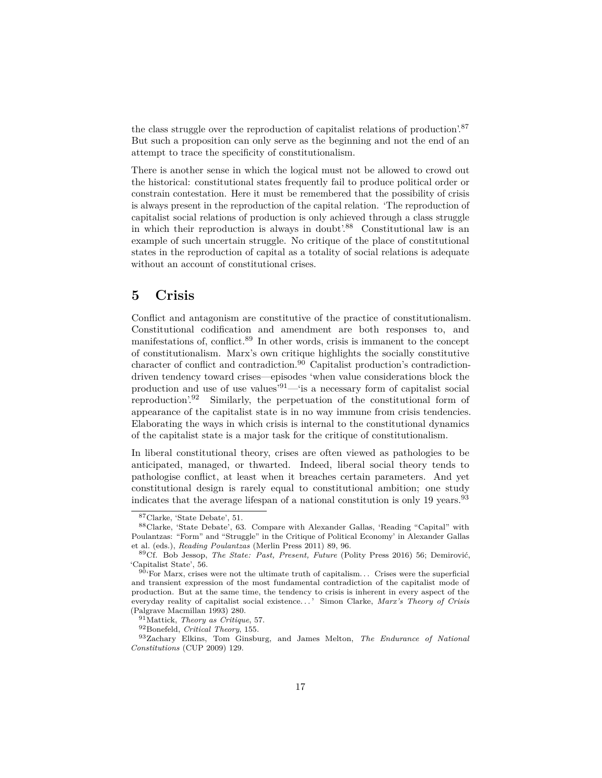the class struggle over the reproduction of capitalist relations of production'.[87](#page-16-0) But such a proposition can only serve as the beginning and not the end of an attempt to trace the specificity of constitutionalism.

There is another sense in which the logical must not be allowed to crowd out the historical: constitutional states frequently fail to produce political order or constrain contestation. Here it must be remembered that the possibility of crisis is always present in the reproduction of the capital relation. 'The reproduction of capitalist social relations of production is only achieved through a class struggle in which their reproduction is always in doubt'.<sup>[88](#page-16-1)</sup> Constitutional law is an example of such uncertain struggle. No critique of the place of constitutional states in the reproduction of capital as a totality of social relations is adequate without an account of constitutional crises.

#### **5 Crisis**

Conflict and antagonism are constitutive of the practice of constitutionalism. Constitutional codification and amendment are both responses to, and manifestations of, conflict.[89](#page-16-2) In other words, crisis is immanent to the concept of constitutionalism. Marx's own critique highlights the socially constitutive  $\alpha$ character of conflict and contradiction.<sup>[90](#page-16-3)</sup> Capitalist production's contradictiondriven tendency toward crises—episodes 'when value considerations block the production and use of use values'[91](#page-16-4)—'is a necessary form of capitalist social reproduction'.[92](#page-16-5) Similarly, the perpetuation of the constitutional form of appearance of the capitalist state is in no way immune from crisis tendencies. Elaborating the ways in which crisis is internal to the constitutional dynamics of the capitalist state is a major task for the critique of constitutionalism.

In liberal constitutional theory, crises are often viewed as pathologies to be anticipated, managed, or thwarted. Indeed, liberal social theory tends to pathologise conflict, at least when it breaches certain parameters. And yet constitutional design is rarely equal to constitutional ambition; one study indicates that the average lifespan of a national constitution is only 19 years.<sup>[93](#page-16-6)</sup>

<span id="page-16-1"></span><span id="page-16-0"></span><sup>87</sup>Clarke, 'State Debate', 51.

<sup>88</sup>Clarke, 'State Debate', 63. Compare with Alexander Gallas, 'Reading "Capital" with Poulantzas: "Form" and "Struggle" in the Critique of Political Economy' in Alexander Gallas et al. (eds.), *Reading Poulantzas* (Merlin Press 2011) 89, 96.

<span id="page-16-2"></span><sup>89</sup>Cf. Bob Jessop, *The State: Past, Present, Future* (Polity Press 2016) 56; Demirović, 'Capitalist State', 56.

<span id="page-16-3"></span> $90'$ <sup>For</sup> Marx, crises were not the ultimate truth of capitalism... Crises were the superficial and transient expression of the most fundamental contradiction of the capitalist mode of production. But at the same time, the tendency to crisis is inherent in every aspect of the everyday reality of capitalist social existence. . . ' Simon Clarke, *Marx's Theory of Crisis* (Palgrave Macmillan 1993) 280.

<span id="page-16-4"></span><sup>91</sup>Mattick, *Theory as Critique*, 57.

<span id="page-16-6"></span><span id="page-16-5"></span><sup>92</sup>Bonefeld, *Critical Theory*, 155.

<sup>93</sup>Zachary Elkins, Tom Ginsburg, and James Melton, *The Endurance of National Constitutions* (CUP 2009) 129.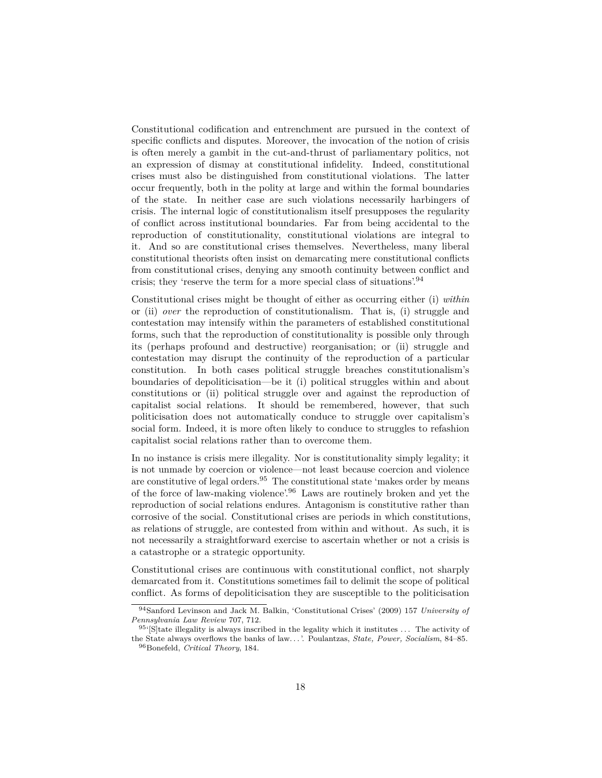Constitutional codification and entrenchment are pursued in the context of specific conflicts and disputes. Moreover, the invocation of the notion of crisis is often merely a gambit in the cut-and-thrust of parliamentary politics, not an expression of dismay at constitutional infidelity. Indeed, constitutional crises must also be distinguished from constitutional violations. The latter occur frequently, both in the polity at large and within the formal boundaries of the state. In neither case are such violations necessarily harbingers of crisis. The internal logic of constitutionalism itself presupposes the regularity of conflict across institutional boundaries. Far from being accidental to the reproduction of constitutionality, constitutional violations are integral to it. And so are constitutional crises themselves. Nevertheless, many liberal constitutional theorists often insist on demarcating mere constitutional conflicts from constitutional crises, denying any smooth continuity between conflict and crisis; they 'reserve the term for a more special class of situations'.[94](#page-17-0)

Constitutional crises might be thought of either as occurring either (i) *within* or (ii) *over* the reproduction of constitutionalism. That is, (i) struggle and contestation may intensify within the parameters of established constitutional forms, such that the reproduction of constitutionality is possible only through its (perhaps profound and destructive) reorganisation; or (ii) struggle and contestation may disrupt the continuity of the reproduction of a particular constitution. In both cases political struggle breaches constitutionalism's boundaries of depoliticisation—be it (i) political struggles within and about constitutions or (ii) political struggle over and against the reproduction of capitalist social relations. It should be remembered, however, that such politicisation does not automatically conduce to struggle over capitalism's social form. Indeed, it is more often likely to conduce to struggles to refashion capitalist social relations rather than to overcome them.

In no instance is crisis mere illegality. Nor is constitutionality simply legality; it is not unmade by coercion or violence—not least because coercion and violence are constitutive of legal orders.<sup>[95](#page-17-1)</sup> The constitutional state 'makes order by means of the force of law-making violence'.[96](#page-17-2) Laws are routinely broken and yet the reproduction of social relations endures. Antagonism is constitutive rather than corrosive of the social. Constitutional crises are periods in which constitutions, as relations of struggle, are contested from within and without. As such, it is not necessarily a straightforward exercise to ascertain whether or not a crisis is a catastrophe or a strategic opportunity.

Constitutional crises are continuous with constitutional conflict, not sharply demarcated from it. Constitutions sometimes fail to delimit the scope of political conflict. As forms of depoliticisation they are susceptible to the politicisation

<span id="page-17-0"></span><sup>94</sup>Sanford Levinson and Jack M. Balkin, 'Constitutional Crises' (2009) 157 *University of Pennsylvania Law Review* 707, 712.

<span id="page-17-2"></span><span id="page-17-1"></span> $95$ <sup>[S]</sup>tate illegality is always inscribed in the legality which it institutes ... The activity of the State always overflows the banks of law. . . '. Poulantzas, *State, Power, Socialism*, 84–85. <sup>96</sup>Bonefeld, *Critical Theory*, 184.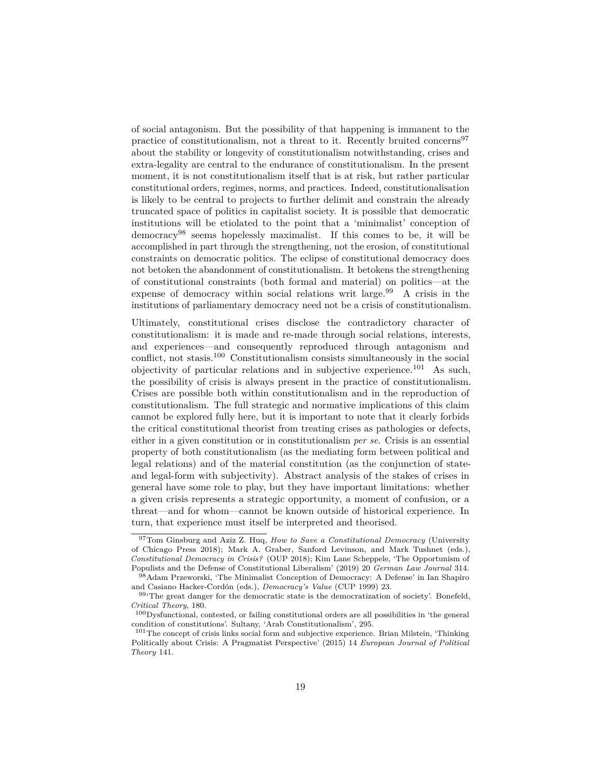of social antagonism. But the possibility of that happening is immanent to the practice of constitutionalism, not a threat to it. Recently bruited concerns[97](#page-18-0) about the stability or longevity of constitutionalism notwithstanding, crises and extra-legality are central to the endurance of constitutionalism. In the present moment, it is not constitutionalism itself that is at risk, but rather particular constitutional orders, regimes, norms, and practices. Indeed, constitutionalisation is likely to be central to projects to further delimit and constrain the already truncated space of politics in capitalist society. It is possible that democratic institutions will be etiolated to the point that a 'minimalist' conception of democracy[98](#page-18-1) seems hopelessly maximalist. If this comes to be, it will be accomplished in part through the strengthening, not the erosion, of constitutional constraints on democratic politics. The eclipse of constitutional democracy does not betoken the abandonment of constitutionalism. It betokens the strengthening of constitutional constraints (both formal and material) on politics—at the expense of democracy within social relations writ large.<sup>[99](#page-18-2)</sup> A crisis in the institutions of parliamentary democracy need not be a crisis of constitutionalism.

Ultimately, constitutional crises disclose the contradictory character of constitutionalism: it is made and re-made through social relations, interests, and experiences—and consequently reproduced through antagonism and conflict, not stasis.[100](#page-18-3) Constitutionalism consists simultaneously in the social objectivity of particular relations and in subjective experience.<sup>[101](#page-18-4)</sup> As such, the possibility of crisis is always present in the practice of constitutionalism. Crises are possible both within constitutionalism and in the reproduction of constitutionalism. The full strategic and normative implications of this claim cannot be explored fully here, but it is important to note that it clearly forbids the critical constitutional theorist from treating crises as pathologies or defects, either in a given constitution or in constitutionalism *per se*. Crisis is an essential property of both constitutionalism (as the mediating form between political and legal relations) and of the material constitution (as the conjunction of stateand legal-form with subjectivity). Abstract analysis of the stakes of crises in general have some role to play, but they have important limitations: whether a given crisis represents a strategic opportunity, a moment of confusion, or a threat—and for whom—cannot be known outside of historical experience. In turn, that experience must itself be interpreted and theorised.

<span id="page-18-0"></span><sup>97</sup>Tom Ginsburg and Aziz Z. Huq, *How to Save a Constitutional Democracy* (University of Chicago Press 2018); Mark A. Graber, Sanford Levinson, and Mark Tushnet (eds.), *Constitutional Democracy in Crisis?* (OUP 2018); Kim Lane Scheppele, 'The Opportunism of Populists and the Defense of Constitutional Liberalism' (2019) 20 *German Law Journal* 314.

<span id="page-18-1"></span><sup>98</sup>Adam Przeworski, 'The Minimalist Conception of Democracy: A Defense' in Ian Shapiro and Casiano Hacker-Cordón (eds.), *Democracy's Value* (CUP 1999) 23.

<span id="page-18-2"></span><sup>99&</sup>lt;sup>.</sup>The great danger for the democratic state is the democratization of society'. Bonefeld, *Critical Theory*, 180.

<span id="page-18-3"></span><sup>100</sup>Dysfunctional, contested, or failing constitutional orders are all possibilities in 'the general condition of constitutions'. Sultany, 'Arab Constitutionalism', 295.

<span id="page-18-4"></span><sup>101</sup>The concept of crisis links social form and subjective experience. Brian Milstein, 'Thinking Politically about Crisis: A Pragmatist Perspective' (2015) 14 *European Journal of Political Theory* 141.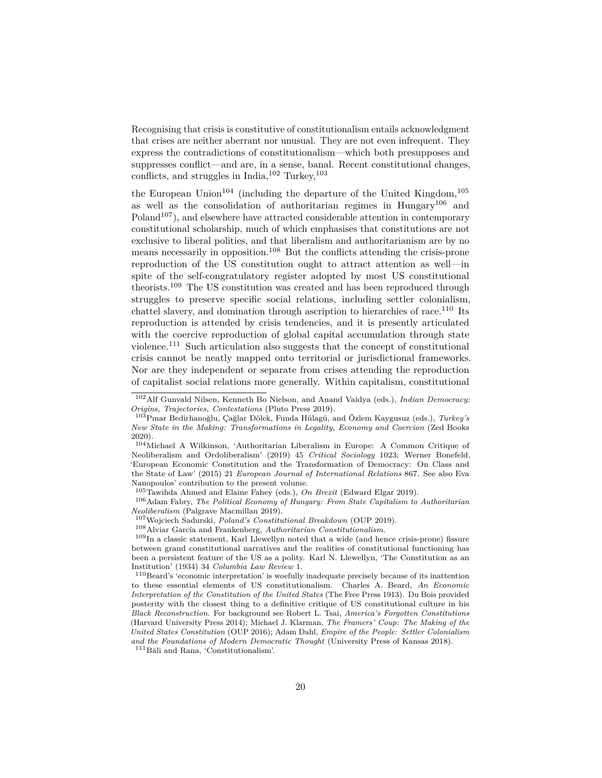Recognising that crisis is constitutive of constitutionalism entails acknowledgment that crises are neither aberrant nor unusual. They are not even infrequent. They express the contradictions of constitutionalism—which both presupposes and suppresses conflict—and are, in a sense, banal. Recent constitutional changes, conflicts, and struggles in India,  $102$  Turkey,  $103$ 

the European Union<sup>[104](#page-19-2)</sup> (including the departure of the United Kingdom,<sup>[105](#page-19-3)</sup> as well as the consolidation of authoritarian regimes in Hungary[106](#page-19-4) and  $Poland<sup>107</sup>$  $Poland<sup>107</sup>$  $Poland<sup>107</sup>$ , and elsewhere have attracted considerable attention in contemporary constitutional scholarship, much of which emphasises that constitutions are not exclusive to liberal polities, and that liberalism and authoritarianism are by no means necessarily in opposition.[108](#page-19-6) But the conflicts attending the crisis-prone reproduction of the US constitution ought to attract attention as well—in spite of the self-congratulatory register adopted by most US constitutional theorists.[109](#page-19-7) The US constitution was created and has been reproduced through struggles to preserve specific social relations, including settler colonialism, chattel slavery, and domination through ascription to hierarchies of race.<sup>[110](#page-19-8)</sup> Its reproduction is attended by crisis tendencies, and it is presently articulated with the coercive reproduction of global capital accumulation through state violence.[111](#page-19-9) Such articulation also suggests that the concept of constitutional crisis cannot be neatly mapped onto territorial or jurisdictional frameworks. Nor are they independent or separate from crises attending the reproduction of capitalist social relations more generally. Within capitalism, constitutional

<sup>106</sup>Adam Fabry, *The Political Economy of Hungary: From State Capitalism to Authoritarian Neoliberalism* (Palgrave Macmillan 2019).

<span id="page-19-5"></span><sup>107</sup>Wojciech Sadurski, *Poland's Constitutional Breakdown* (OUP 2019).

<span id="page-19-7"></span><span id="page-19-6"></span><sup>108</sup>Alviar García and Frankenberg, *Authoritarian Constitutionalism.*

<sup>109</sup>In a classic statement, Karl Llewellyn noted that a wide (and hence crisis-prone) fissure between grand constitutional narratives and the realities of constitutional functioning has been a persistent feature of the US as a polity. Karl N. Llewellyn, 'The Constitution as an Institution' (1934) 34 *Columbia Law Review* 1.

<span id="page-19-8"></span><sup>110</sup>Beard's 'economic interpretation' is woefully inadequate precisely because of its inattention to these essential elements of US constitutionalism. Charles A. Beard, *An Economic Interpretation of the Constitution of the United States* (The Free Press 1913). Du Bois provided posterity with the closest thing to a definitive critique of US constitutional culture in his *Black Reconstruction*. For background see Robert L. Tsai, *America's Forgotten Constitutions* (Harvard University Press 2014); Michael J. Klarman, *The Framers' Coup: The Making of the United States Constitution* (OUP 2016); Adam Dahl, *Empire of the People: Settler Colonialism and the Foundations of Modern Democratic Thought* (University Press of Kansas 2018).

<span id="page-19-9"></span><sup>111</sup>Bâli and Rana, 'Constitutionalism'.

<span id="page-19-0"></span><sup>102</sup>Alf Gunvald Nilsen, Kenneth Bo Nielson, and Anand Vaidya (eds.), *Indian Democracy: Origins, Trajectories, Contestations* (Pluto Press 2019).

<span id="page-19-1"></span><sup>103</sup>Pınar Bedirhanoğlu, Çağlar Dölek, Funda Hülagü, and Özlem Kaygusuz (eds.), *Turkey's New State in the Making: Transformations in Legality, Economy and Coercion* (Zed Books 2020).

<span id="page-19-2"></span> $104$ Michael A Wilkinson, 'Authoritarian Liberalism in Europe: A Common Critique of Neoliberalism and Ordoliberalism' (2019) 45 *Critical Sociology* 1023; Werner Bonefeld, 'European Economic Constitution and the Transformation of Democracy: On Class and the State of Law' (2015) 21 *European Journal of International Relations* 867. See also Eva Nanopoulos' contribution to the present volume.

<span id="page-19-4"></span><span id="page-19-3"></span><sup>105</sup>Tawihda Ahmed and Elaine Fahey (eds.), *On Brexit* (Edward Elgar 2019).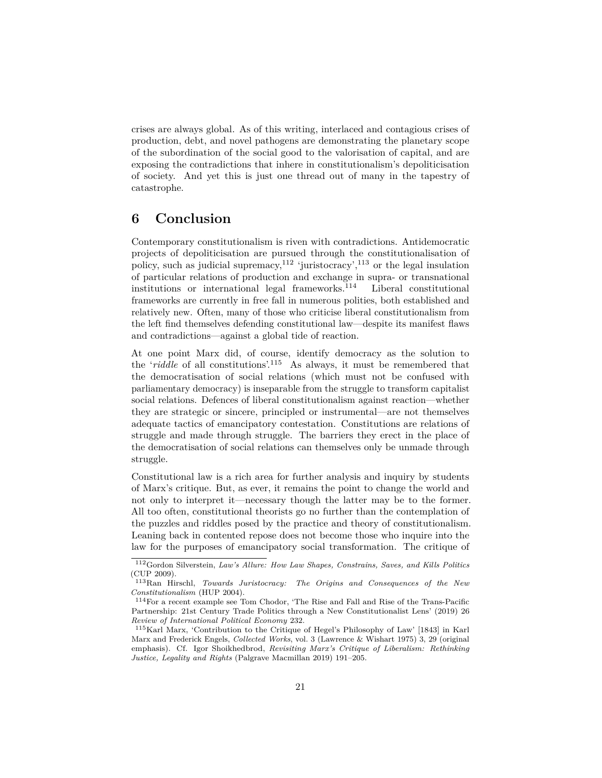crises are always global. As of this writing, interlaced and contagious crises of production, debt, and novel pathogens are demonstrating the planetary scope of the subordination of the social good to the valorisation of capital, and are exposing the contradictions that inhere in constitutionalism's depoliticisation of society. And yet this is just one thread out of many in the tapestry of catastrophe.

### **6 Conclusion**

Contemporary constitutionalism is riven with contradictions. Antidemocratic projects of depoliticisation are pursued through the constitutionalisation of policy, such as judicial supremacy,<sup>[112](#page-20-0)</sup> 'juristocracy',<sup>[113](#page-20-1)</sup> or the legal insulation of particular relations of production and exchange in supra- or transnational institutions or international legal frameworks.[114](#page-20-2) Liberal constitutional frameworks are currently in free fall in numerous polities, both established and relatively new. Often, many of those who criticise liberal constitutionalism from the left find themselves defending constitutional law—despite its manifest flaws and contradictions—against a global tide of reaction.

At one point Marx did, of course, identify democracy as the solution to the '*riddle* of all constitutions'.[115](#page-20-3) As always, it must be remembered that the democratisation of social relations (which must not be confused with parliamentary democracy) is inseparable from the struggle to transform capitalist social relations. Defences of liberal constitutionalism against reaction—whether they are strategic or sincere, principled or instrumental—are not themselves adequate tactics of emancipatory contestation. Constitutions are relations of struggle and made through struggle. The barriers they erect in the place of the democratisation of social relations can themselves only be unmade through struggle.

Constitutional law is a rich area for further analysis and inquiry by students of Marx's critique. But, as ever, it remains the point to change the world and not only to interpret it—necessary though the latter may be to the former. All too often, constitutional theorists go no further than the contemplation of the puzzles and riddles posed by the practice and theory of constitutionalism. Leaning back in contented repose does not become those who inquire into the law for the purposes of emancipatory social transformation. The critique of

<span id="page-20-0"></span><sup>112</sup>Gordon Silverstein, *Law's Allure: How Law Shapes, Constrains, Saves, and Kills Politics* (CUP 2009).

<span id="page-20-1"></span><sup>113</sup>Ran Hirschl, *Towards Juristocracy: The Origins and Consequences of the New Constitutionalism* (HUP 2004).

<span id="page-20-2"></span><sup>114</sup>For a recent example see Tom Chodor, 'The Rise and Fall and Rise of the Trans-Pacific Partnership: 21st Century Trade Politics through a New Constitutionalist Lens' (2019) 26 *Review of International Political Economy* 232.

<span id="page-20-3"></span><sup>115</sup>Karl Marx, 'Contribution to the Critique of Hegel's Philosophy of Law' [1843] in Karl Marx and Frederick Engels, *Collected Works*, vol. 3 (Lawrence & Wishart 1975) 3, 29 (original emphasis). Cf. Igor Shoikhedbrod, *Revisiting Marx's Critique of Liberalism: Rethinking Justice, Legality and Rights* (Palgrave Macmillan 2019) 191–205.